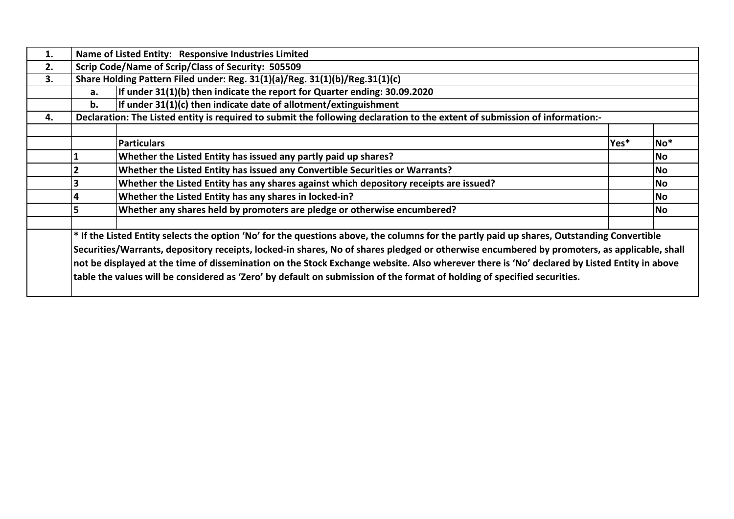| 1. |    | Name of Listed Entity: Responsive Industries Limited                                                                                                  |      |           |
|----|----|-------------------------------------------------------------------------------------------------------------------------------------------------------|------|-----------|
| 2. |    | Scrip Code/Name of Scrip/Class of Security: 505509                                                                                                    |      |           |
| 3. |    | Share Holding Pattern Filed under: Reg. 31(1)(a)/Reg. 31(1)(b)/Reg.31(1)(c)                                                                           |      |           |
|    | а. | If under 31(1)(b) then indicate the report for Quarter ending: 30.09.2020                                                                             |      |           |
|    | b. | If under $31(1)(c)$ then indicate date of allotment/extinguishment                                                                                    |      |           |
| 4. |    | Declaration: The Listed entity is required to submit the following declaration to the extent of submission of information:-                           |      |           |
|    |    |                                                                                                                                                       |      |           |
|    |    | <b>Particulars</b>                                                                                                                                    | Yes* | $No*$     |
|    |    | Whether the Listed Entity has issued any partly paid up shares?                                                                                       |      | <b>No</b> |
|    |    | Whether the Listed Entity has issued any Convertible Securities or Warrants?                                                                          |      | <b>No</b> |
|    |    | Whether the Listed Entity has any shares against which depository receipts are issued?                                                                |      | <b>No</b> |
|    |    | Whether the Listed Entity has any shares in locked-in?                                                                                                |      | <b>No</b> |
|    |    | Whether any shares held by promoters are pledge or otherwise encumbered?                                                                              |      | <b>No</b> |
|    |    |                                                                                                                                                       |      |           |
|    |    | <sup>*</sup> If the Listed Entity selects the option 'No' for the questions above, the columns for the partly paid up shares, Outstanding Convertible |      |           |
|    |    | Securities/Warrants, depository receipts, locked-in shares, No of shares pledged or otherwise encumbered by promoters, as applicable, shall           |      |           |
|    |    | not be displayed at the time of dissemination on the Stock Exchange website. Also wherever there is 'No' declared by Listed Entity in above           |      |           |
|    |    | table the values will be considered as 'Zero' by default on submission of the format of holding of specified securities.                              |      |           |
|    |    |                                                                                                                                                       |      |           |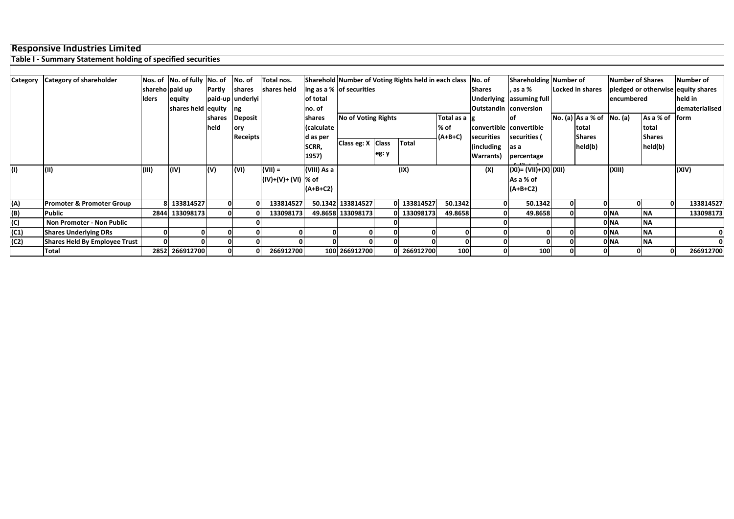## **Responsive Industries Limited**

## **Table I - Summary Statement holding of specified securities**

| Category | <b>Category of shareholder</b>       |       | Nos. of No. of fully No. of No. of |                          |                  | Total nos.           |             |                            |              | Sharehold Number of Voting Rights held in each class No. of |                  |                         |                          | Shareholding Number of |                             | Number of Shares |               | Number of                          |
|----------|--------------------------------------|-------|------------------------------------|--------------------------|------------------|----------------------|-------------|----------------------------|--------------|-------------------------------------------------------------|------------------|-------------------------|--------------------------|------------------------|-----------------------------|------------------|---------------|------------------------------------|
|          |                                      |       | shareho paid up                    | Partly                   | shares           | shares held          |             | ing as a % of securities   |              |                                                             |                  | <b>Shares</b>           | , as a %                 |                        | Locked in shares            |                  |               | pledged or otherwise equity shares |
|          |                                      | lders | equity                             |                          | paid-up underlyi |                      | of total    |                            |              |                                                             |                  |                         | Underlying assuming full |                        |                             | encumbered       |               | held in                            |
|          |                                      |       | shares held equity                 |                          | ng               |                      | no. of      |                            |              |                                                             |                  | Outstandin conversion   |                          |                        |                             |                  |               | dematerialised                     |
|          |                                      |       |                                    | shares                   | <b>Deposit</b>   |                      | shares      | <b>No of Voting Rights</b> |              |                                                             | Total as a $ g $ |                         | lof                      |                        | No. (a) $As a % of No. (a)$ |                  | As a % of     | lform                              |
|          |                                      |       |                                    | held                     | ory              |                      | (calculate  |                            |              |                                                             | % of             | convertible convertible |                          |                        | total                       |                  | total         |                                    |
|          |                                      |       |                                    |                          | <b>Receipts</b>  |                      | d as per    |                            |              |                                                             | $(A+B+C)$        | securities              | securities (             |                        | <b>Shares</b>               |                  | <b>Shares</b> |                                    |
|          |                                      |       |                                    |                          |                  |                      | SCRR,       | Class eg: X                | <b>Class</b> | Total                                                       |                  | (including              | as a                     |                        | held(b)                     |                  | held(b)       |                                    |
|          |                                      |       |                                    |                          |                  |                      | 1957)       |                            | eg: y        |                                                             |                  | Warrants)               | percentage               |                        |                             |                  |               |                                    |
|          | (11)                                 | (III) | (IV)                               | $\mathsf{I}(\mathsf{V})$ | (VI)             | $($ VII) =           | (VIII) As a |                            |              | (IX)                                                        |                  | (X)                     | $(XI) = (VII)+(X) (XII)$ |                        |                             | (XIII)           |               | (XIV)                              |
|          |                                      |       |                                    |                          |                  | (IV)+(V)+ (VI)  % of |             |                            |              |                                                             |                  |                         | As a % of                |                        |                             |                  |               |                                    |
|          |                                      |       |                                    |                          |                  |                      | $(A+B+C2)$  |                            |              |                                                             |                  |                         | $(A+B+C2)$               |                        |                             |                  |               |                                    |
| (A)      | <b>Promoter &amp; Promoter Group</b> |       | 8 133814527                        |                          | ΩI               | 133814527            |             | 50.1342 133814527          |              | 0 133814527                                                 | 50.1342          |                         | 50.1342                  |                        |                             |                  | $\Omega$      | 133814527                          |
| (B)      | <b>Public</b>                        | 2844  | 133098173                          |                          |                  | 133098173            |             | 49.8658 133098173          |              | 0 133098173                                                 | 49.8658          |                         | 49.8658                  |                        |                             | 0 NA             | <b>NA</b>     | 133098173                          |
| (C)      | <b>Non Promoter - Non Public</b>     |       |                                    |                          |                  |                      |             |                            |              |                                                             |                  |                         |                          |                        |                             | 0 NA             | <b>NA</b>     |                                    |
| (C1)     | <b>Shares Underlying DRs</b>         | 0     |                                    |                          |                  |                      |             | 01                         |              |                                                             |                  |                         | $\Omega$                 |                        |                             | 0 NA             | <b>NA</b>     |                                    |
| (C2)     | Shares Held By Employee Trust        |       |                                    |                          |                  |                      |             |                            |              |                                                             |                  |                         |                          |                        |                             | 0 NA             | <b>NA</b>     |                                    |
|          | Total                                |       | 2852 266912700                     |                          | 0                | 266912700            |             | 100 266912700              |              | 0 266912700                                                 | 100              |                         | 100                      |                        |                             |                  | $\mathbf{0}$  | 266912700                          |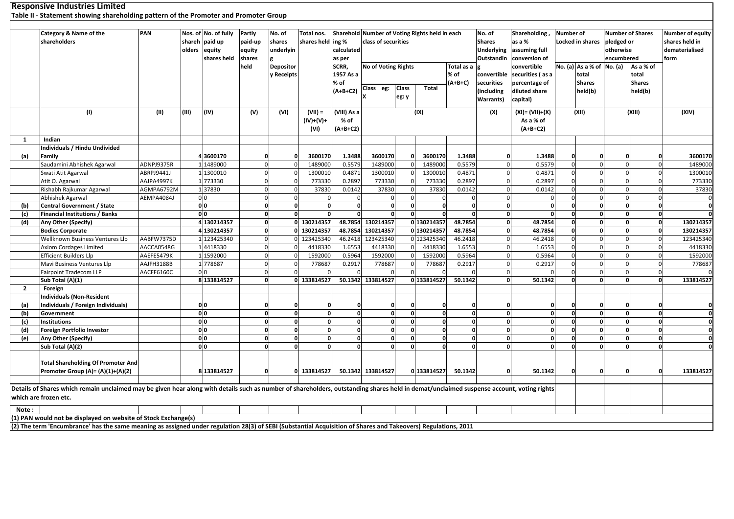|                | <b>Responsive Industries Limited</b>                                                                                                                                                     |            |        |                      |                |              |                   |              |                                                |              |                              |              |                   |                          |                  |                         |              |                         |                                        |
|----------------|------------------------------------------------------------------------------------------------------------------------------------------------------------------------------------------|------------|--------|----------------------|----------------|--------------|-------------------|--------------|------------------------------------------------|--------------|------------------------------|--------------|-------------------|--------------------------|------------------|-------------------------|--------------|-------------------------|----------------------------------------|
|                | Table II - Statement showing shareholding pattern of the Promoter and Promoter Group                                                                                                     |            |        |                      |                |              |                   |              |                                                |              |                              |              |                   |                          |                  |                         |              |                         |                                        |
|                |                                                                                                                                                                                          |            |        |                      |                |              |                   |              |                                                |              |                              |              |                   |                          |                  |                         |              |                         |                                        |
|                | Category & Name of the                                                                                                                                                                   | PAN        |        | Nos. of No. of fully | Partly         | No. of       | Total nos.        |              | Sharehold Number of Voting Rights held in each |              |                              |              | No. of            | Shareholding             | <b>Number of</b> |                         |              | <b>Number of Shares</b> | Number of equity                       |
|                | shareholders                                                                                                                                                                             |            | shareh | paid up              | paid-up        | shares       | shares held ing % |              | class of securities                            |              |                              |              | <b>Shares</b>     | as a %                   |                  | <b>Locked in shares</b> | pledged or   |                         | shares held in                         |
|                |                                                                                                                                                                                          |            | olders | equity               | equity         | underlyin    |                   | calculated   |                                                |              |                              |              | <b>Underlying</b> | assuming full            |                  |                         | otherwise    |                         | dematerialised                         |
|                |                                                                                                                                                                                          |            |        | shares held          | shares         |              |                   | as per       |                                                |              |                              |              | <b>Outstandin</b> | conversion of            |                  |                         | encumbered   |                         | form                                   |
|                |                                                                                                                                                                                          |            |        |                      | held           | Depositor    |                   | SCRR,        | <b>No of Voting Rights</b>                     |              |                              | Total as a   |                   | convertible              |                  | No. (a) As a % of       | No. (a)      | As a % of               |                                        |
|                |                                                                                                                                                                                          |            |        |                      |                | y Receipts   |                   | 1957 As a    |                                                |              |                              | % of         | convertible       | securities (as a         |                  | total                   |              | total                   |                                        |
|                |                                                                                                                                                                                          |            |        |                      |                |              |                   | % of         |                                                |              |                              | $(A+B+C)$    | securities        | percentage of            |                  | <b>Shares</b>           |              | <b>Shares</b>           |                                        |
|                |                                                                                                                                                                                          |            |        |                      |                |              |                   | $(A+B+C2)$   | Class eg:                                      | <b>Class</b> | <b>Total</b>                 |              | (including        | diluted share            |                  | held(b)                 |              | held(b)                 |                                        |
|                |                                                                                                                                                                                          |            |        |                      |                |              |                   |              |                                                | eg: y        |                              |              | Warrants)         | capital)                 |                  |                         |              |                         |                                        |
|                |                                                                                                                                                                                          |            |        |                      |                |              |                   |              |                                                |              |                              |              |                   |                          |                  |                         |              |                         |                                        |
|                | (1)                                                                                                                                                                                      | (11)       | (III)  | (IV)                 | (V)            | (VI)         | $(VII) =$         | (VIII) As a  |                                                |              | (IX)                         |              | (X)               | (XI)= (VII)+(X)          |                  | (XII)                   |              | (XIII)                  | (XIV)                                  |
|                |                                                                                                                                                                                          |            |        |                      |                |              | (IV)+(V)+         | % of         |                                                |              |                              |              |                   | As a % of                |                  |                         |              |                         |                                        |
|                |                                                                                                                                                                                          |            |        |                      |                |              | (VI)              | $(A+B+C2)$   |                                                |              |                              |              |                   | $(A+B+C2)$               |                  |                         |              |                         |                                        |
| 1              | Indian                                                                                                                                                                                   |            |        |                      |                |              |                   |              |                                                |              |                              |              |                   |                          |                  |                         |              |                         |                                        |
|                | Individuals / Hindu Undivided                                                                                                                                                            |            |        |                      |                |              |                   |              |                                                |              |                              |              |                   |                          |                  |                         |              |                         |                                        |
| (a)            | Family                                                                                                                                                                                   |            |        | 43600170             |                |              | 3600170           | 1.3488       | 3600170                                        |              | 3600170                      | 1.3488       | O                 | 1.3488                   |                  |                         |              |                         | 3600170<br>$\Omega$                    |
|                | Saudamini Abhishek Agarwal                                                                                                                                                               | ADNPJ9375R |        | 1 1489000            | $\Omega$       |              | 1489000           | 0.5579       | 1489000                                        |              | 1489000                      | 0.5579       |                   | 0.5579                   |                  |                         |              |                         | 1489000                                |
|                | Swati Atit Agarwal                                                                                                                                                                       | ABRPJ9441J |        | 1 1300010            | $\Omega$       | $\Omega$     | 1300010           | 0.4871       | 1300010                                        |              | 1300010                      | 0.4871       |                   | 0.4871<br>$\Omega$       |                  |                         |              |                         | 1300010<br>$\Omega$                    |
|                | Atit O. Agarwal                                                                                                                                                                          | AAJPA4997K |        | 1 773330             | $\Omega$       | $\Omega$     | 773330            | 0.2897       | 773330                                         |              | 773330                       | 0.2897       |                   | 0.2897<br>$\Omega$       |                  |                         | $\Omega$     |                         | 773330<br>$\Omega$                     |
|                | Rishabh Rajkumar Agarwal                                                                                                                                                                 | AGMPA6792M |        | 137830               |                | $\Omega$     | 37830             | 0.0142       | 37830                                          |              | 37830                        | 0.0142       |                   | 0.0142<br>$\Omega$       |                  |                         | $\Omega$     |                         | 37830<br>$\Omega$                      |
|                | Abhishek Agarwal                                                                                                                                                                         | AEMPA4084J |        | 0 <sub>0</sub>       | $\Omega$       | $\Omega$     | $\Omega$          |              |                                                |              |                              | $\Omega$     |                   | $\Omega$                 |                  | $\Omega$                | $\Omega$     |                         | $\Omega$<br>$\mathbf 0$                |
| (b)            | <b>Central Government / State</b>                                                                                                                                                        |            |        | 0 <sub>0</sub>       | 0              | 0            | $\mathbf{0}$      | $\mathbf{0}$ | O                                              |              | $\Omega$<br>$\mathbf 0$      | $\mathbf{0}$ |                   | $\mathbf{0}$             | $\Omega$         | $\Omega$                | $\mathbf{0}$ |                         | $\mathbf{0}$<br>$\mathbf{0}$           |
| (c)            | <b>Financial Institutions / Banks</b>                                                                                                                                                    |            |        | 0 <sub>0</sub>       | $\mathbf{0}$   | $\mathbf{0}$ | $\mathbf{0}$      |              | $\Omega$                                       |              | 0                            | $\mathbf{0}$ |                   | $\mathbf{0}$<br>$\Omega$ | $\Omega$         | $\Omega$                | $\Omega$     |                         | $\mathbf{0}$<br>$\mathbf{0}$           |
| (d)            | Any Other (Specify)                                                                                                                                                                      |            |        | 4 130214357          |                |              | 0 130214357       | 48.7854      | 130214357                                      |              | 0 130214357                  | 48.7854      |                   | 48.7854<br>$\Omega$      |                  |                         | $\Omega$     |                         | $\mathbf 0$<br>130214357               |
|                | <b>Bodies Corporate</b>                                                                                                                                                                  |            |        | 4 130214357          |                |              | 0 130214357       | 48.7854      | 130214357                                      |              | 0 130214357                  | 48.7854      |                   | 48.7854<br>$\Omega$      |                  |                         | $\Omega$     |                         | 130214357<br>$\Omega$                  |
|                | Wellknown Business Ventures Llp                                                                                                                                                          | AABFW7375D |        | 1 123425340          |                | ΩL           | 123425340         | 46.2418      | 123425340                                      |              | 0 123425340                  | 46.2418      |                   | $\Omega$<br>46.2418      |                  |                         | $\Omega$     |                         | 123425340<br>$\Omega$                  |
|                | <b>Axiom Cordages Limited</b>                                                                                                                                                            | AACCA0548G |        | 14418330             |                | $\Omega$     | 4418330           | 1.6553       | 4418330                                        |              | 4418330                      | 1.6553       |                   | $\Omega$<br>1.6553       |                  |                         |              |                         | 4418330                                |
|                | <b>Efficient Builders Llp</b>                                                                                                                                                            | AAEFE5479K |        | 1 1592000            | $\overline{0}$ | $\Omega$     | 1592000           | 0.5964       | 1592000                                        |              | 1592000                      | 0.5964       |                   | 0.5964<br>$\Omega$       |                  |                         | $\Omega$     |                         | 1592000<br>$\Omega$                    |
|                | Mavi Business Ventures Llp                                                                                                                                                               | AAJFH3188B |        | 1 778687             | $\Omega$       | $\Omega$     | 778687            | 0.2917       | 778687                                         |              | 778687                       | 0.2917       |                   | $\Omega$<br>0.2917       |                  |                         | $\Omega$     |                         | 778687<br>$\Omega$                     |
|                | <b>Fairpoint Tradecom LLP</b>                                                                                                                                                            | AACFF6160C |        | 0 <sub>0</sub>       | $\Omega$       | U            |                   |              |                                                |              |                              |              |                   | $\Omega$                 |                  | $\Omega$                | $\Omega$     |                         | $\Omega$                               |
|                | Sub Total (A)(1)                                                                                                                                                                         |            |        | 8 133814527          | $\mathbf{0}$   |              | 0 133814527       |              | 50.1342 133814527                              |              | 0 133814527                  | 50.1342      |                   | 50.1342<br>$\mathbf{0}$  |                  | $\Omega$                | $\Omega$     |                         | 133814527<br>$\mathbf{0}$              |
| $\overline{2}$ | Foreign                                                                                                                                                                                  |            |        |                      |                |              |                   |              |                                                |              |                              |              |                   |                          |                  |                         |              |                         |                                        |
|                | <b>Individuals (Non-Resident</b>                                                                                                                                                         |            |        |                      |                |              |                   |              |                                                |              |                              |              |                   |                          |                  |                         |              |                         |                                        |
| (a)            | Individuals / Foreign Individuals)                                                                                                                                                       |            |        | 0 <sub>0</sub>       |                |              |                   |              | ſ                                              |              |                              |              |                   |                          |                  |                         |              |                         |                                        |
| (b)            | Government                                                                                                                                                                               |            |        | 0 <sub>0</sub>       | $\mathbf{o}$   | $\Omega$     | $\Omega$          |              | $\Omega$                                       |              | $\mathbf 0$                  | $\mathbf{0}$ |                   | $\Omega$                 |                  | $\Omega$                | $\Omega$     |                         | $\mathbf 0$<br>$\mathbf{0}$            |
| (c)            | <b>Institutions</b>                                                                                                                                                                      |            |        | $\overline{0}$       |                | O            | $\Omega$          |              | $\Omega$                                       |              | $\Omega$                     |              |                   | $\Omega$                 |                  |                         |              |                         | $\overline{\mathbf{0}}$<br>$\mathbf 0$ |
| (d)            | Foreign Portfolio Investor                                                                                                                                                               |            |        | 0 <sub>0</sub>       | $\Omega$       | 0            | $\mathbf{0}$      | $\Omega$     | $\Omega$                                       |              | $\mathbf{0}$<br><sup>0</sup> | $\mathbf{0}$ |                   | $\Omega$<br>$\Omega$     |                  | $\Omega$                | $\Omega$     |                         | $\mathbf{0}$<br>$\mathbf{0}$           |
| (e)            | Any Other (Specify)                                                                                                                                                                      |            |        | 0 <sub>0</sub>       | $\Omega$       | $\Omega$     | $\mathbf{0}$      |              | $\Omega$                                       |              | $\Omega$                     | $\mathbf{0}$ |                   | $\mathbf{0}$<br>$\Omega$ |                  | $\Omega$                | $\Omega$     |                         | $\mathbf{0}$<br>$\mathbf 0$            |
|                | Sub Total (A)(2)                                                                                                                                                                         |            |        | 0 <sub>0</sub>       |                | n١           | $\Omega$          |              | $\Omega$                                       | $\Omega$     | $\Omega$                     | <sub>0</sub> |                   | $\Omega$<br>$\Omega$     |                  | $\Omega$                | $\Omega$     |                         | $\mathbf{0}$<br>$\mathbf{0}$           |
|                |                                                                                                                                                                                          |            |        |                      |                |              |                   |              |                                                |              |                              |              |                   |                          |                  |                         |              |                         |                                        |
|                | <b>Total Shareholding Of Promoter And</b>                                                                                                                                                |            |        |                      |                |              |                   |              |                                                |              |                              |              |                   |                          |                  |                         |              |                         |                                        |
|                | Promoter Group (A)= (A)(1)+(A)(2)                                                                                                                                                        |            |        | 8 133814527          |                | $\mathbf{0}$ | 0 133814527       |              | 50.1342 133814527                              |              | 0 133814527                  | 50.1342      |                   | 50.1342                  | $\Omega$         | $\Omega$                | $\mathbf 0$  |                         | 133814527<br>$\mathbf{0}$              |
|                |                                                                                                                                                                                          |            |        |                      |                |              |                   |              |                                                |              |                              |              |                   |                          |                  |                         |              |                         |                                        |
|                | Details of Shares which remain unclaimed may be given hear along with details such as number of shareholders, outstanding shares held in demat/unclaimed suspense account, voting rights |            |        |                      |                |              |                   |              |                                                |              |                              |              |                   |                          |                  |                         |              |                         |                                        |
|                | which are frozen etc.                                                                                                                                                                    |            |        |                      |                |              |                   |              |                                                |              |                              |              |                   |                          |                  |                         |              |                         |                                        |
|                |                                                                                                                                                                                          |            |        |                      |                |              |                   |              |                                                |              |                              |              |                   |                          |                  |                         |              |                         |                                        |
| Note:          |                                                                                                                                                                                          |            |        |                      |                |              |                   |              |                                                |              |                              |              |                   |                          |                  |                         |              |                         |                                        |
|                | (1) PAN would not be displayed on website of Stock Exchange(s)                                                                                                                           |            |        |                      |                |              |                   |              |                                                |              |                              |              |                   |                          |                  |                         |              |                         |                                        |
|                | (2) The term 'Encumbrance' has the same meaning as assigned under regulation 28(3) of SEBI (Substantial Acquisition of Shares and Takeovers) Regulations, 2011                           |            |        |                      |                |              |                   |              |                                                |              |                              |              |                   |                          |                  |                         |              |                         |                                        |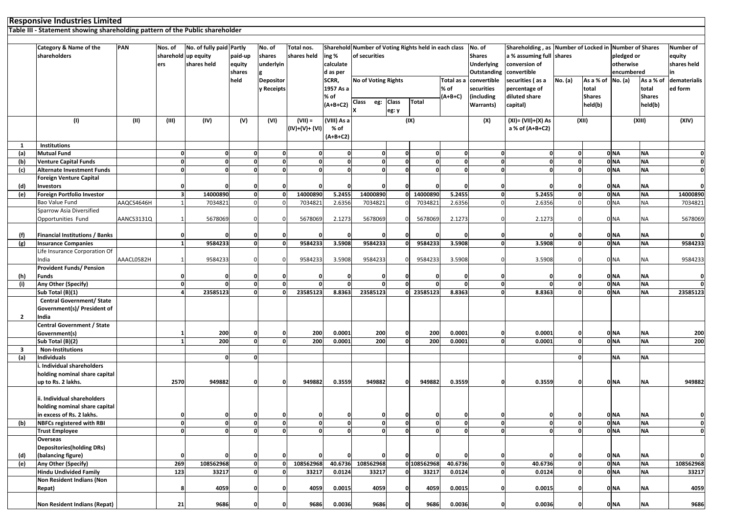| Responsive Industries Limited                                                |                                   |     |                     |                          |         |               |                   |  |                                                             |               |                          |                                                       |            |           |
|------------------------------------------------------------------------------|-----------------------------------|-----|---------------------|--------------------------|---------|---------------|-------------------|--|-------------------------------------------------------------|---------------|--------------------------|-------------------------------------------------------|------------|-----------|
| Table III - Statement showing shareholding pattern of the Public shareholder |                                   |     |                     |                          |         |               |                   |  |                                                             |               |                          |                                                       |            |           |
|                                                                              |                                   |     |                     |                          |         |               |                   |  |                                                             |               |                          |                                                       |            |           |
|                                                                              |                                   |     |                     |                          |         |               |                   |  |                                                             |               |                          |                                                       |            |           |
|                                                                              | <b>Category &amp; Name of the</b> | PAN | Nos. of             | No. of fully paid Partly |         | No. of        | Total nos.        |  | Sharehold Number of Voting Rights held in each class No. of |               |                          | Shareholding, as Number of Locked in Number of Shares |            | Number of |
|                                                                              | shareholders                      |     | sharehold up equity |                          | paid-up | <b>shares</b> | shares held ing % |  | of securities                                               | <b>Shares</b> | a % assuming full shares |                                                       | pledged or | equity    |

|                | shareholders                                                        |            | sharehold up equity<br>ers | shares held        | paid-up<br>equity            | shares<br>underlyin               | shares held        | ing %<br>calculate       | of securities            |              |                         |                   | <b>Shares</b><br><b>Underlying</b> | a % assuming full shares<br>conversion of |          |               | pledged or<br>otherwise            |                          | equity<br>shares held |
|----------------|---------------------------------------------------------------------|------------|----------------------------|--------------------|------------------------------|-----------------------------------|--------------------|--------------------------|--------------------------|--------------|-------------------------|-------------------|------------------------------------|-------------------------------------------|----------|---------------|------------------------------------|--------------------------|-----------------------|
|                |                                                                     |            |                            |                    | shares                       |                                   |                    | d as per                 |                          |              |                         |                   | Outstanding                        | convertible                               |          |               | encumbered                         |                          | in                    |
|                |                                                                     |            |                            |                    | held                         | <b>Depositor</b>                  |                    | SCRR,                    | No of Voting Rights      |              |                         | Total as a        | convertible                        | securities (as a                          | No. (a)  | As a % of     | No. (a)                            | As a % of                | dematerialis          |
|                |                                                                     |            |                            |                    |                              | y Receipts                        |                    | 1957 As a                |                          |              |                         | % of              | securities                         | percentage of                             |          | total         |                                    | total                    | ed form               |
|                |                                                                     |            |                            |                    |                              |                                   |                    | % of<br>$(A+B+C2)$       | <b>Class</b><br>eg:      | <b>Class</b> | <b>Total</b>            | (A+B+C)           | (including                         | diluted share                             |          | <b>Shares</b> |                                    | <b>Shares</b><br>held(b) |                       |
|                |                                                                     |            |                            |                    |                              |                                   |                    |                          |                          | eg: y        |                         |                   | Warrants)                          | capital)                                  |          | held(b)       |                                    |                          |                       |
|                | (1)                                                                 | (II)       | (III)                      | (IV)               | (V)                          | (VI)                              | $(VII) =$          | $\overline{(VIII)}$ As a |                          |              | (IX)                    |                   | (X)                                | (XI)= (VII)+(X) As                        |          | (XII)         |                                    | (XIII)                   | (XIV)                 |
|                |                                                                     |            |                            |                    |                              |                                   | (IV)+(V)+ (VI)     | % of                     |                          |              |                         |                   |                                    | a % of (A+B+C2)                           |          |               |                                    |                          |                       |
|                |                                                                     |            |                            |                    |                              |                                   |                    | $(A+B+C2)$               |                          |              |                         |                   |                                    |                                           |          |               |                                    |                          |                       |
| 1              | <b>Institutions</b>                                                 |            |                            |                    |                              |                                   |                    |                          |                          |              |                         |                   |                                    |                                           |          |               |                                    |                          |                       |
| (a)            | <b>Mutual Fund</b>                                                  |            | 0                          |                    | O                            | $\Omega$                          |                    | O                        | $\Omega$                 |              | $\Omega$                | 0                 | O                                  | $\Omega$                                  |          |               | 0 <sub>NA</sub>                    | <b>NA</b>                |                       |
| (b)            | <b>Venture Capital Funds</b>                                        |            | <sub>0</sub>               | O                  |                              | 0<br>$\mathbf{0}$<br>$\mathbf{0}$ | $\mathbf{0}$       | $\mathbf{0}$<br>$\Omega$ | $\mathbf{0}$<br>$\Omega$ | $\Omega$     | 0<br>$\Omega$           | $\mathbf{0}$      | $\mathbf{0}$                       | $\mathbf{0}$<br>$\Omega$                  |          | $\Omega$      | 0 <sub>NA</sub>                    | <b>NA</b>                | $\mathbf{0}$          |
| (c)            | <b>Alternate Investment Funds</b><br><b>Foreign Venture Capital</b> |            | $\mathbf{0}$               | O                  |                              | 0                                 | $\Omega$           |                          |                          |              |                         | $\mathbf{0}$      | $\mathbf{0}$                       |                                           |          |               | 0 <sub>NA</sub>                    | <b>NA</b>                | $\mathbf{0}$          |
| (d)            | <b>Investors</b>                                                    |            | $\mathbf{0}$               |                    |                              | n                                 |                    |                          |                          |              |                         |                   | O                                  |                                           |          |               | 0 NA                               | <b>NA</b>                | <sub>0</sub>          |
| (e)            | Foreign Portfolio Investor                                          |            | $\overline{\mathbf{3}}$    | 14000890           |                              | 0<br>$\mathbf{0}$                 | 14000890           | 5.2455                   | 14000890                 |              | 14000890<br>οl          | 5.2455            | $\mathbf{0}$                       | 5.2455                                    |          |               | 0 <sub>NA</sub>                    | <b>NA</b>                | 14000890              |
|                | Bao Value Fund                                                      | AAQCS4646H |                            | 7034821            | $\Omega$                     | $\Omega$                          | 7034821            | 2.6356                   | 7034821                  |              | 7034821                 | 2.6356            | $\Omega$                           | 2.6356                                    |          |               | 0 <sub>NA</sub>                    | <b>NA</b>                | 7034821               |
|                | Sparrow Asia Diversified                                            |            |                            |                    |                              |                                   |                    |                          |                          |              |                         |                   |                                    |                                           |          |               |                                    |                          |                       |
|                | Opportunities Fund                                                  | AANCS3131Q |                            | 5678069            | $\Omega$                     | $\Omega$                          | 5678069            | 2.1273                   | 5678069                  | $\mathbf 0$  | 5678069                 | 2.1273            | O                                  | 2.1273                                    |          |               | 0 <sub>NA</sub>                    | NA                       | 5678069               |
|                |                                                                     |            |                            |                    |                              |                                   |                    |                          |                          |              |                         |                   |                                    |                                           |          |               |                                    |                          |                       |
| (f)            | <b>Financial Institutions / Banks</b>                               |            | 0                          |                    |                              | $\Omega$                          |                    |                          |                          |              |                         |                   |                                    |                                           |          |               | 0 NA                               | <b>NA</b>                | ΩI                    |
| (g)            | <b>Insurance Companies</b>                                          |            | $\mathbf{1}$               | 9584233            |                              | οl<br>$\mathbf{0}$                | 9584233            | 3.5908                   | 9584233                  |              | 9584233<br>$\mathbf{0}$ | 3.5908            | $\mathbf{0}$                       | 3.5908                                    |          |               | 0 <sub>NA</sub>                    | <b>NA</b>                | 9584233               |
|                | Life Insurance Corporation Of                                       |            |                            |                    |                              |                                   |                    |                          |                          |              |                         |                   |                                    |                                           |          |               |                                    |                          |                       |
|                | India                                                               | AAACL0582H |                            | 9584233            |                              | $\Omega$                          | 9584233            | 3.5908                   | 9584233                  |              | 9584233                 | 3.5908            |                                    | 3.5908                                    |          |               | 0 <sub>NA</sub>                    | <b>NA</b>                | 9584233               |
| (h)            | <b>Provident Funds/ Pension</b><br><b>Funds</b>                     |            | $\mathbf{0}$               |                    |                              | $\Omega$                          |                    |                          | $\Omega$                 |              |                         |                   |                                    | O                                         |          |               | 0 <sub>NA</sub>                    | <b>NA</b>                | $\mathbf{0}$          |
| (i)            | Any Other (Specify)                                                 |            | $\mathbf 0$                |                    | $\Omega$                     | $\Omega$                          |                    | <sup>0</sup>             |                          |              |                         | $\Omega$          | $\mathbf{0}$                       | n                                         |          |               | 0 <sub>NA</sub>                    | <b>NA</b>                | ٥l                    |
|                | Sub Total (B)(1)                                                    |            | 4                          | 23585123           |                              | $\Omega$<br>0                     | 23585123           | 8.8363                   | 23585123                 |              | 0 23585123              | 8.8363            | $\mathbf{0}$                       | 8.8363                                    |          |               | 0 <sub>NA</sub>                    | <b>NA</b>                | 23585123              |
|                | <b>Central Government/ State</b>                                    |            |                            |                    |                              |                                   |                    |                          |                          |              |                         |                   |                                    |                                           |          |               |                                    |                          |                       |
|                | Government(s)/ President of                                         |            |                            |                    |                              |                                   |                    |                          |                          |              |                         |                   |                                    |                                           |          |               |                                    |                          |                       |
| $\overline{2}$ | India                                                               |            |                            |                    |                              |                                   |                    |                          |                          |              |                         |                   |                                    |                                           |          |               |                                    |                          |                       |
|                | <b>Central Government / State</b>                                   |            |                            |                    |                              |                                   |                    |                          |                          |              |                         |                   |                                    |                                           |          |               |                                    |                          |                       |
|                | Government(s)                                                       |            |                            | 200                | $\Omega$                     | $\Omega$                          | 200                | 0.0001                   | 200                      | 0            | 200                     | 0.0001            | o                                  | 0.0001                                    |          |               | 0 <sub>NA</sub>                    | <b>NA</b>                | 200                   |
|                | Sub Total (B)(2)                                                    |            |                            | 200                |                              | οI<br>$\Omega$                    | 200                | 0.0001                   | 200                      | $\Omega$     | 200                     | 0.0001            | $\Omega$                           | 0.0001                                    |          |               | 0 NA                               | <b>NA</b>                | 200                   |
| 3              | <b>Non-Institutions</b>                                             |            |                            |                    |                              |                                   |                    |                          |                          |              |                         |                   |                                    |                                           |          |               |                                    |                          |                       |
| (a)            | <b>Individuals</b>                                                  |            |                            | $\Omega$           | $\mathbf{0}$                 |                                   |                    |                          |                          |              |                         |                   |                                    |                                           |          |               | <b>NA</b>                          | <b>NA</b>                |                       |
|                | . Individual shareholders<br>holding nominal share capital          |            |                            |                    |                              |                                   |                    |                          |                          |              |                         |                   |                                    |                                           |          |               |                                    |                          |                       |
|                | up to Rs. 2 lakhs.                                                  |            | 2570                       | 949882             | ŋ                            | n                                 | 949882             | 0.3559                   | 949882                   | n            | 949882                  | 0.3559            |                                    | 0.3559                                    |          |               | 0 <sub>NA</sub>                    | <b>NA</b>                | 949882                |
|                |                                                                     |            |                            |                    |                              |                                   |                    |                          |                          |              |                         |                   |                                    |                                           |          |               |                                    |                          |                       |
|                | ii. Individual shareholders                                         |            |                            |                    |                              |                                   |                    |                          |                          |              |                         |                   |                                    |                                           |          |               |                                    |                          |                       |
|                | holding nominal share capital                                       |            |                            |                    |                              |                                   |                    |                          |                          |              |                         |                   |                                    |                                           |          |               |                                    |                          |                       |
|                | in excess of Rs. 2 lakhs.                                           |            | 0                          |                    |                              |                                   |                    |                          |                          |              |                         |                   |                                    |                                           |          |               | 0 NA                               | <b>NA</b>                |                       |
| (b)            | <b>NBFCs registered with RBI</b>                                    |            | $\mathbf{0}$               | 0                  |                              | $\mathbf{0}$<br>$\mathbf{0}$      | $\Omega$           | 0                        | $\mathbf{0}$             | $\mathbf 0$  | 0                       | $\mathbf 0$       | $\mathbf{0}$                       | $\mathbf{0}$                              | $\Omega$ |               | 0 <sub>NA</sub>                    | <b>NA</b>                | $\mathbf{0}$          |
|                | <b>Trust Employee</b>                                               |            | <sub>0</sub>               | $\Omega$           | $\mathbf{0}$                 | $\mathbf{0}$                      | O                  | $\mathbf 0$              | $\Omega$                 |              | <sub>0</sub>            | $\mathbf{0}$      | $\mathbf{0}$                       | $\Omega$                                  |          |               | 0 <sub>NA</sub>                    | <b>NA</b>                | $\mathbf{0}$          |
|                | Overseas                                                            |            |                            |                    |                              |                                   |                    |                          |                          |              |                         |                   |                                    |                                           |          |               |                                    |                          |                       |
|                | <b>Depositories (holding DRs)</b>                                   |            |                            |                    |                              |                                   |                    |                          |                          |              |                         |                   |                                    |                                           |          |               |                                    |                          |                       |
| (d)            | (balancing figure)                                                  |            | $\Omega$                   |                    |                              |                                   |                    |                          |                          |              |                         |                   | o                                  |                                           |          |               | 0 <sub>NA</sub>                    | <b>NA</b>                |                       |
| (e)            | Any Other (Specify)                                                 |            | 269<br>123                 | 108562968<br>33217 | $\mathbf{0}$<br>$\mathbf{0}$ | $\mathbf{o}$<br>$\mathbf{0}$      | 108562968<br>33217 | 40.6736<br>0.0124        | 108562968<br>33217       | $\mathbf{0}$ | 0 108562968<br>33217    | 40.6736<br>0.0124 | $\mathbf{0}$<br>$\mathbf{0}$       | 40.6736<br>0.0124                         | $\Omega$ |               | 0 <sub>NA</sub><br>0 <sub>NA</sub> | <b>NA</b><br><b>NA</b>   | 108562968<br>33217    |
|                | <b>Hindu Undivided Family</b><br>Non Resident Indians (Non          |            |                            |                    |                              |                                   |                    |                          |                          |              |                         |                   |                                    |                                           |          |               |                                    |                          |                       |
|                | Repat)                                                              |            | 8                          | 4059               | ŋ                            | o                                 | 4059               | 0.0015                   | 4059                     | $\Omega$     | 4059                    | 0.0015            |                                    | 0.0015                                    |          |               | 0 NA                               | <b>NA</b>                | 4059                  |
|                |                                                                     |            |                            |                    |                              |                                   |                    |                          |                          |              |                         |                   |                                    |                                           |          |               |                                    |                          |                       |
|                | Non Resident Indians (Repat)                                        |            | 21                         | 9686               | Ω                            | n                                 | 9686               | 0.0036                   | 9686                     |              | 9686                    | 0.0036            |                                    | 0.0036                                    |          |               | 0 <sub>NA</sub>                    | <b>NA</b>                | 9686                  |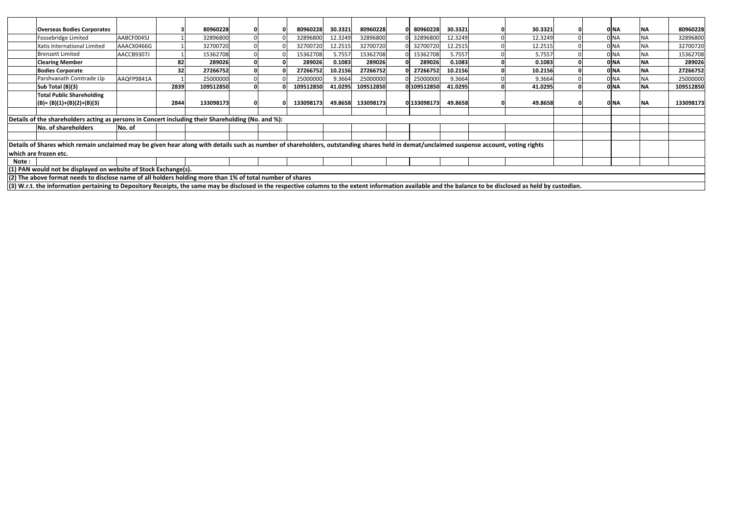|        | <b>Overseas Bodies Corporates</b>                                                                                                                                                                           |            |      | 80960228  |  | 80960228  | 30.3321 | 80960228  | 0 80960228  | 30.3321 | 30.3321 |  | 0 NA            | <b>INA</b> | 80960228  |
|--------|-------------------------------------------------------------------------------------------------------------------------------------------------------------------------------------------------------------|------------|------|-----------|--|-----------|---------|-----------|-------------|---------|---------|--|-----------------|------------|-----------|
|        | Fossebridge Limited                                                                                                                                                                                         | AABCF0045J |      | 32896800  |  | 32896800  | 12.3249 | 32896800  | 32896800    | 12.3249 | 12.3249 |  |                 | <b>NA</b>  | 32896800  |
|        | Xatis International Limited                                                                                                                                                                                 | AAACX0466G |      | 32700720  |  | 32700720  | 12.2515 | 32700720  | 32700720    | 12.2515 | 12.2515 |  | ) NA            | <b>NA</b>  | 32700720  |
|        | <b>Brenzett Limited</b>                                                                                                                                                                                     | AACCB9307J |      | 15362708  |  | 15362708  | 5.7557  | 15362708  | 15362708    | 5.7557  | 5.7557  |  | ) NA            | <b>NA</b>  | 15362708  |
|        | <b>Clearing Member</b>                                                                                                                                                                                      |            | 82   | 289026    |  | 289026    | 0.1083  | 289026    | 289026      | 0.1083  | 0.1083  |  | 0 NA            | <b>NA</b>  | 289026    |
|        | <b>Bodies Corporate</b>                                                                                                                                                                                     |            | 32   | 27266752  |  | 27266752  | 10.2156 | 27266752  | 0 27266752  | 10.2156 | 10.2156 |  | 0 <sub>NA</sub> | <b>NA</b>  | 27266752  |
|        | Parshvanath Comtrade Llp                                                                                                                                                                                    | AAQFP9841A |      | 25000000  |  | 25000000  | 9.3664  | 25000000  | 25000000    | 9.3664  | 9.3664  |  | ) NA            | <b>NA</b>  | 25000000  |
|        | Sub Total (B)(3)                                                                                                                                                                                            |            | 2839 | 109512850 |  | 109512850 | 41.0295 | 109512850 | 0 109512850 | 41.0295 | 41.0295 |  | 0 <sub>NA</sub> | <b>NA</b>  | 109512850 |
|        | <b>Total Public Shareholding</b>                                                                                                                                                                            |            |      |           |  |           |         |           |             |         |         |  |                 |            |           |
|        | $(B) = (B)(1)+(B)(2)+(B)(3)$                                                                                                                                                                                |            | 2844 | 133098173 |  | 133098173 | 49.8658 | 133098173 | 0 133098173 | 49.8658 | 49.8658 |  | 0 NA            | <b>INA</b> | 133098173 |
|        |                                                                                                                                                                                                             |            |      |           |  |           |         |           |             |         |         |  |                 |            |           |
|        | Details of the shareholders acting as persons in Concert including their Shareholding (No. and %):                                                                                                          |            |      |           |  |           |         |           |             |         |         |  |                 |            |           |
|        | No. of shareholders                                                                                                                                                                                         | No. of     |      |           |  |           |         |           |             |         |         |  |                 |            |           |
|        |                                                                                                                                                                                                             |            |      |           |  |           |         |           |             |         |         |  |                 |            |           |
|        | Details of Shares which remain unclaimed may be given hear along with details such as number of shareholders, outstanding shares held in demat/unclaimed suspense account, voting rights                    |            |      |           |  |           |         |           |             |         |         |  |                 |            |           |
|        | which are frozen etc.                                                                                                                                                                                       |            |      |           |  |           |         |           |             |         |         |  |                 |            |           |
| Note : |                                                                                                                                                                                                             |            |      |           |  |           |         |           |             |         |         |  |                 |            |           |
|        | (1) PAN would not be displayed on website of Stock Exchange(s).                                                                                                                                             |            |      |           |  |           |         |           |             |         |         |  |                 |            |           |
|        | (2) The above format needs to disclose name of all holders holding more than 1% of total number of shares                                                                                                   |            |      |           |  |           |         |           |             |         |         |  |                 |            |           |
|        | (3) W.r.t. the information pertaining to Depository Receipts, the same may be disclosed in the respective columns to the extent information available and the balance to be disclosed as held by custodian. |            |      |           |  |           |         |           |             |         |         |  |                 |            |           |